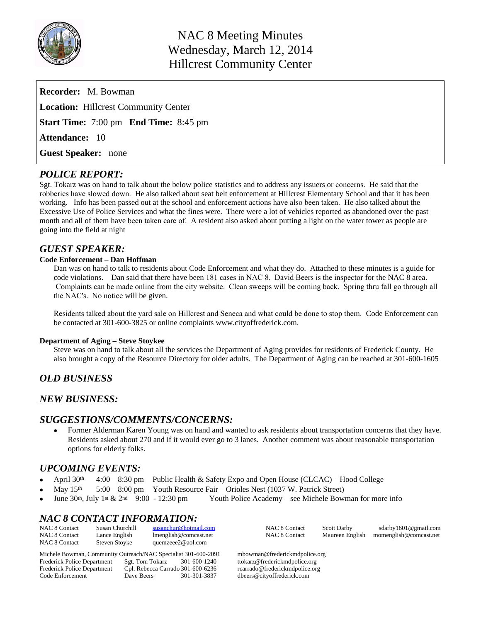

| <b>Recorder:</b> M. Bowman                          |
|-----------------------------------------------------|
| <b>Location:</b> Hillcrest Community Center         |
| <b>Start Time:</b> 7:00 pm <b>End Time:</b> 8:45 pm |
| <b>Attendance: 10</b>                               |
| <b>Guest Speaker:</b> none                          |

## *POLICE REPORT:*

Sgt. Tokarz was on hand to talk about the below police statistics and to address any issuers or concerns. He said that the robberies have slowed down. He also talked about seat belt enforcement at Hillcrest Elementary School and that it has been working. Info has been passed out at the school and enforcement actions have also been taken. He also talked about the Excessive Use of Police Services and what the fines were. There were a lot of vehicles reported as abandoned over the past month and all of them have been taken care of. A resident also asked about putting a light on the water tower as people are going into the field at night

## *GUEST SPEAKER:*

#### **Code Enforcement – Dan Hoffman**

Dan was on hand to talk to residents about Code Enforcement and what they do. Attached to these minutes is a guide for code violations. Dan said that there have been 181 cases in NAC 8. David Beers is the inspector for the NAC 8 area. Complaints can be made online from the city website. Clean sweeps will be coming back. Spring thru fall go through all the NAC's. No notice will be given.

Residents talked about the yard sale on Hillcrest and Seneca and what could be done to stop them. Code Enforcement can be contacted at 301-600-3825 or online complaints www.cityoffrederick.com.

#### **Department of Aging – Steve Stoykee**

Steve was on hand to talk about all the services the Department of Aging provides for residents of Frederick County. He also brought a copy of the Resource Directory for older adults. The Department of Aging can be reached at 301-600-1605

## *OLD BUSINESS*

## *NEW BUSINESS:*

### *SUGGESTIONS/COMMENTS/CONCERNS:*

 Former Alderman Karen Young was on hand and wanted to ask residents about transportation concerns that they have. Residents asked about 270 and if it would ever go to 3 lanes. Another comment was about reasonable transportation options for elderly folks.

## *UPCOMING EVENTS:*

- April 30<sup>th</sup> 4:00 8:30 pm Public Health & Safety Expo and Open House (CLCAC) Hood College
- May  $15^{th}$  5:00 8:00 pm Youth Resource Fair Orioles Nest (1037 W. Patrick Street)<br>June 30<sup>th</sup>, July 1<sup>st</sup> & 2<sup>nd</sup> 9:00 12:30 pm Youth Police Academy see Michele Bow
- Youth Police Academy see Michele Bowman for more info

### *NAC 8 CONTACT INFORMATION:*

| NAC 8 Contact<br>NAC 8 Contact<br>NAC 8 Contact                | Susan Churchill<br>Lance English<br>Steven Stoyke |                 | susanchur@hotmail.com<br>lmenglish@comcast.net<br>quemzeee2@aol.com | <b>NAC 8 Contact</b><br><b>NAC 8 Contact</b> | <b>Scott Darby</b><br>Maureen English | sdarby1601@gmail.com<br>momenglish@comcast.net |  |  |  |  |
|----------------------------------------------------------------|---------------------------------------------------|-----------------|---------------------------------------------------------------------|----------------------------------------------|---------------------------------------|------------------------------------------------|--|--|--|--|
| Michele Bowman, Community Outreach/NAC Specialist 301-600-2091 |                                                   |                 |                                                                     | mbowman@frederickmdpolice.org                |                                       |                                                |  |  |  |  |
| Frederick Police Department                                    |                                                   | Sgt. Tom Tokarz | 301-600-1240                                                        | ttokarz@frederickmdpolice.org                |                                       |                                                |  |  |  |  |
| Frederick Police Department                                    |                                                   |                 | Cpl. Rebecca Carrado 301-600-6236                                   | rcarrado@frederickmdpolice.org               |                                       |                                                |  |  |  |  |
| Code Enforcement                                               | Dave Beers                                        |                 | 301-301-3837                                                        | dbeers@citvoffrederick.com                   |                                       |                                                |  |  |  |  |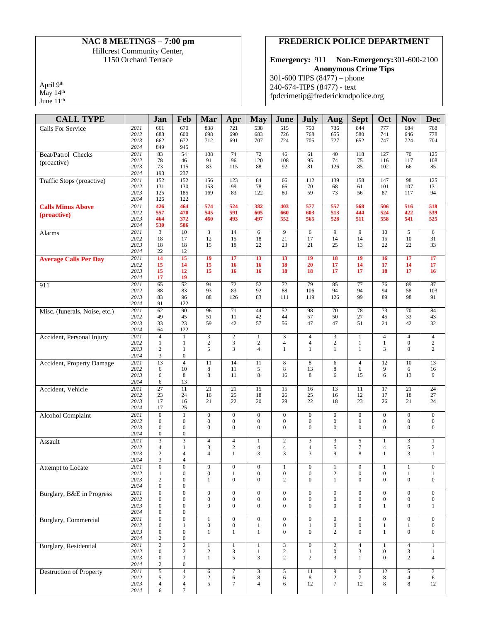### **NAC 8 MEETINGS – 7:00 pm** Hillcrest Community Center, 1150 Orchard Terrace

April 9th May 14<sup>th</sup>

June 11<sup>th</sup>

# **FREDERICK POLICE DEPARTMENT**

**Emergency:** 911 **Non-Emergency:**301-600-2100 **Anonymous Crime Tips**

301-600 TIPS (8477) – phone 240-674-TIPS (8477) - text [fpdcrimetip@frederickmdpolice.org](mailto:fpdcrimetip@frederickmdpolice.org)

| <b>CALL TYPE</b>                        |              | Jan                            | Feb                                  | Mar                              | Apr                              | <b>May</b>                                 | June                                 | July                             | Aug                                  | <b>Sept</b>                        | Oct                              | <b>Nov</b>                     | <b>Dec</b>                       |
|-----------------------------------------|--------------|--------------------------------|--------------------------------------|----------------------------------|----------------------------------|--------------------------------------------|--------------------------------------|----------------------------------|--------------------------------------|------------------------------------|----------------------------------|--------------------------------|----------------------------------|
| <b>Calls For Service</b>                | 2011         | 661                            | 670                                  | 838                              | 721                              | 538                                        | 515                                  | 750                              | 736                                  | 844                                | 777                              | 684                            | 768                              |
|                                         | 2012<br>2013 | 688<br>662                     | 600<br>672                           | 698<br>712                       | 690<br>691                       | 683<br>707                                 | 726<br>724                           | 768<br>705                       | 655<br>727                           | 580<br>652                         | 741<br>747                       | 646<br>724                     | 778<br>704                       |
|                                         | 2014         | 849                            | 945                                  |                                  |                                  |                                            |                                      |                                  |                                      |                                    |                                  |                                |                                  |
| Beat/Patrol Checks                      | 2011<br>2012 | 83<br>78                       | 54<br>46                             | 108<br>91                        | 74<br>96                         | 72<br>120                                  | 46<br>108                            | 61<br>95                         | 40<br>74                             | 118                                | 127<br>116                       | 70<br>117                      | 125<br>108                       |
| (proactive)                             | 2013         | 73                             | 115                                  | 83                               | 115                              | 88                                         | 92                                   | 81                               | 126                                  | 75<br>85                           | 102                              | 66                             | 85                               |
|                                         | 2014         | 193                            | 237                                  |                                  |                                  |                                            |                                      |                                  |                                      |                                    |                                  |                                |                                  |
| Traffic Stops (proactive)               | 2011<br>2012 | 152<br>131                     | 152<br>130                           | 156<br>153                       | 123<br>99                        | 84<br>78                                   | 66<br>66                             | 112<br>70                        | 139<br>68                            | 158<br>61                          | 147<br>101                       | 98<br>107                      | 125<br>131                       |
|                                         | 2013         | 125                            | 185                                  | 169                              | 83                               | 122                                        | 80                                   | 59                               | 73                                   | 56                                 | 87                               | 117                            | 94                               |
|                                         | 2014         | 126<br>426                     | 122<br>464                           | 574                              |                                  |                                            | 403                                  | 577                              |                                      | 568                                | 506                              | 516                            |                                  |
| <b>Calls Minus Above</b><br>(proactive) | 2011<br>2012 | 557                            | 470                                  | 545                              | 524<br>591                       | 382<br>605                                 | 660                                  | 603                              | 557<br>513                           | 444                                | 524                              | 422                            | 518<br>539                       |
|                                         | 2013         | 464                            | 372                                  | 460                              | 493                              | 497                                        | 552                                  | 565                              | 528                                  | 511                                | 558                              | 541                            | 525                              |
| Alarms                                  | 2014<br>2011 | 530<br>3                       | 586<br>10                            | 3                                | 14                               | 6                                          | 9                                    | 6                                | 9                                    | $\overline{9}$                     | 10                               | 5                              | 6                                |
|                                         | 2012         | 18                             | 17                                   | 12                               | 15                               | 18                                         | 21                                   | 17                               | 14                                   | 14                                 | 15                               | 10                             | 31                               |
|                                         | 2013<br>2014 | 18<br>22                       | 18<br>12                             | 15                               | 18                               | 22                                         | 23                                   | 21                               | 25                                   | 13                                 | 22                               | 22                             | 33                               |
| <b>Average Calls Per Day</b>            | 2011         | 14                             | 15                                   | 19                               | 17                               | 13                                         | 13                                   | 19                               | 18                                   | 19                                 | 16                               | 17                             | 17                               |
|                                         | 2012         | 15                             | 14                                   | 15                               | 16                               | 16                                         | 18                                   | 20                               | 17                                   | 14                                 | 17                               | 14                             | 17                               |
|                                         | 2013<br>2014 | 15<br>17                       | 12<br>19                             | 15                               | 16                               | 16                                         | 18                                   | 18                               | 17                                   | 17                                 | 18                               | 17                             | 16                               |
| 911                                     | 2011         | $\overline{65}$                | 52                                   | 94                               | $\overline{72}$                  | $\overline{52}$                            | 72                                   | 79                               | 85                                   | 77                                 | 76                               | 89                             | 87                               |
|                                         | 2012         | 88                             | 83                                   | 93                               | 83                               | 92                                         | 88                                   | 106                              | 94                                   | 94<br>99                           | 94<br>89                         | 58                             | 103<br>91                        |
|                                         | 2013<br>2014 | 83<br>91                       | 96<br>122                            | 88                               | 126                              | 83                                         | 111                                  | 119                              | 126                                  |                                    |                                  | 98                             |                                  |
| Misc. (funerals, Noise, etc.)           | 2011         | 62                             | 90                                   | 96                               | 71                               | 44                                         | 52                                   | 98                               | 70                                   | 78                                 | 73                               | 70                             | 84                               |
|                                         | 2012<br>2013 | 49<br>33                       | 45<br>23                             | 51<br>59                         | 11<br>42                         | 42<br>57                                   | 44<br>56                             | 57<br>47                         | 50<br>47                             | 27<br>51                           | 45<br>24                         | 33<br>42                       | 43<br>32                         |
|                                         | 2014         | 64                             | 122                                  |                                  |                                  |                                            |                                      |                                  |                                      |                                    |                                  |                                |                                  |
| Accident, Personal Injury               | 2011         | $\overline{4}$                 | $\mathbf{1}$                         | 3                                | $\overline{c}$                   | $\mathbf{1}$                               | 3                                    | 4                                | 3                                    | $\mathbf{1}$                       | $\overline{4}$                   | 4                              | $\overline{4}$                   |
|                                         | 2012<br>2013 | 1<br>2                         | 1<br>$\mathbf{1}$                    | $\sqrt{2}$<br>5                  | 3<br>3                           | $\mathbf{2}$<br>$\overline{4}$             | $\overline{4}$<br>$\mathbf{1}$       | 4<br>$\mathbf{1}$                | $\overline{c}$<br>$\mathbf{1}$       | 1<br>$\mathbf{1}$                  | 1<br>3                           | $\mathbf{0}$<br>$\overline{0}$ | $\sqrt{2}$<br>$\overline{c}$     |
|                                         | 2014         | 3                              | $\overline{0}$                       |                                  |                                  |                                            |                                      |                                  |                                      |                                    |                                  |                                |                                  |
| Accident, Property Damage               | 2011<br>2012 | 13                             | $\overline{4}$<br>10                 | 11                               | 14                               | 11                                         | $\overline{8}$<br>8                  | $\overline{8}$                   | 6<br>8                               | $\overline{4}$<br>6                | $\overline{12}$<br>9             | 10                             | 13<br>16                         |
|                                         | 2013         | 6<br>6                         | 8                                    | 8<br>8                           | 11<br>11                         | 5<br>8                                     | 16                                   | 13<br>8                          | 6                                    | 15                                 | 6                                | 6<br>13                        | 9                                |
|                                         | 2014         | 6                              | 13                                   |                                  |                                  |                                            |                                      |                                  |                                      |                                    |                                  |                                |                                  |
| Accident, Vehicle                       | 2011<br>2012 | 27<br>23                       | 11<br>24                             | 21<br>16                         | 21<br>25                         | 15<br>18                                   | 15<br>26                             | 16<br>25                         | 13<br>16                             | 11<br>12                           | 17<br>17                         | 21<br>18                       | 24<br>27                         |
|                                         | 2013         | 17                             | 16                                   | 21                               | 22                               | 20                                         | 29                                   | 22                               | 18                                   | 23                                 | 26                               | 21                             | 24                               |
|                                         | 2014<br>2011 | 17<br>$\mathbf{0}$             | 25<br>$\mathbf{1}$                   | $\overline{0}$                   | $\overline{0}$                   | $\boldsymbol{0}$                           | $\overline{0}$                       | $\boldsymbol{0}$                 | $\mathbf{0}$                         | $\overline{0}$                     | $\overline{0}$                   | $\mathbf{0}$                   | $\overline{0}$                   |
| <b>Alcohol Complaint</b>                | 2012         | $\overline{0}$                 | $\boldsymbol{0}$                     | $\boldsymbol{0}$                 | $\boldsymbol{0}$                 | $\boldsymbol{0}$                           | $\boldsymbol{0}$                     | $\boldsymbol{0}$                 | $\boldsymbol{0}$                     | $\boldsymbol{0}$                   | $\boldsymbol{0}$                 | 0                              | $\mathbf{0}$                     |
|                                         | 2013         | $\mathbf{0}$                   | $\overline{0}$                       | $\mathbf{0}$                     | $\overline{0}$                   | $\mathbf{0}$                               | $\overline{0}$                       | $\mathbf{0}$                     | $\boldsymbol{0}$                     | $\overline{0}$                     | $\mathbf{0}$                     | 0                              | $\mathbf{0}$                     |
| Assault                                 | 2014<br>2011 | $\mathbf{0}$<br>$\overline{3}$ | $\boldsymbol{0}$<br>3                | $\overline{4}$                   | $\overline{4}$                   | $\mathbf{1}$                               | $\sqrt{2}$                           | 3                                | 3                                    | 5                                  | $\mathbf{1}$                     | 3                              | $\mathbf{1}$                     |
|                                         | 2012         | $\overline{4}$                 | $\mathbf{1}$                         | 3                                | $\boldsymbol{2}$                 | $\overline{4}$                             | $\overline{4}$                       | 4                                | 5                                    | $\tau$                             | $\overline{4}$                   | 5                              | $\sqrt{2}$                       |
|                                         | 2013<br>2014 | $\mathbf{2}$<br>3              | $\overline{4}$<br>$\overline{4}$     | $\overline{4}$                   | 1                                | 3                                          | 3                                    | 3                                | 9                                    | 8                                  | $\mathbf{1}$                     | 3                              | $\mathbf{1}$                     |
| Attempt to Locate                       | 2011         | $\boldsymbol{0}$               | $\boldsymbol{0}$                     | $\boldsymbol{0}$                 | $\boldsymbol{0}$                 | $\boldsymbol{0}$                           | -1                                   | 0                                | 1                                    | $\boldsymbol{0}$                   | -1                               |                                | $\boldsymbol{0}$                 |
|                                         | 2012         | $\mathbf{1}$                   | $\boldsymbol{0}$                     | $\boldsymbol{0}$                 | 1                                | $\boldsymbol{0}$                           | $\boldsymbol{0}$                     | $\boldsymbol{0}$                 | $\,2$                                | $\boldsymbol{0}$                   | $\boldsymbol{0}$                 | 1                              | $\mathbf{1}$                     |
|                                         | 2013<br>2014 | $\overline{c}$<br>$\mathbf{0}$ | $\boldsymbol{0}$<br>$\boldsymbol{0}$ | 1                                | $\overline{0}$                   | $\mathbf{0}$                               | 2                                    | $\overline{0}$                   | $\mathbf{1}$                         | $\overline{0}$                     | $\overline{0}$                   | $\boldsymbol{0}$               | $\boldsymbol{0}$                 |
| Burglary, B&E in Progress               | 2011         | $\boldsymbol{0}$               | $\overline{0}$                       | $\boldsymbol{0}$                 | $\boldsymbol{0}$                 | $\boldsymbol{0}$                           | $\boldsymbol{0}$                     | $\overline{0}$                   | $\mathbf{0}$                         | $\boldsymbol{0}$                   | $\mathbf{0}$                     | $\overline{0}$                 | $\boldsymbol{0}$                 |
|                                         | 2012         | $\mathbf{0}$                   | $\boldsymbol{0}$                     | $\boldsymbol{0}$                 | $\boldsymbol{0}$                 | $\boldsymbol{0}$                           | $\boldsymbol{0}$                     | $\boldsymbol{0}$                 | $\boldsymbol{0}$                     | $\boldsymbol{0}$                   | $\boldsymbol{0}$                 | 0                              | $\boldsymbol{0}$                 |
|                                         | 2013<br>2014 | $\mathbf{0}$<br>$\mathbf{0}$   | $\boldsymbol{0}$<br>$\boldsymbol{0}$ | $\overline{0}$                   | $\boldsymbol{0}$                 | $\mathbf{0}$                               | $\boldsymbol{0}$                     | $\boldsymbol{0}$                 | $\boldsymbol{0}$                     | $\overline{0}$                     | $\mathbf{1}$                     | 0                              | $\mathbf{1}$                     |
| <b>Burglary</b> , Commercial            | 2011         | $\boldsymbol{0}$               | $\overline{0}$                       | $\mathbf{1}$                     | $\boldsymbol{0}$                 | $\boldsymbol{0}$                           | $\boldsymbol{0}$                     | $\boldsymbol{0}$                 | $\boldsymbol{0}$                     | $\boldsymbol{0}$                   | $\boldsymbol{0}$                 | $\boldsymbol{0}$               | $\boldsymbol{0}$                 |
|                                         | 2012<br>2013 | $\mathbf{0}$<br>$\mathbf{0}$   | $\mathbf{1}$<br>$\boldsymbol{0}$     | $\boldsymbol{0}$<br>$\mathbf{1}$ | $\boldsymbol{0}$<br>$\mathbf{1}$ | $\mathbf{1}$<br>$\mathbf{1}$               | $\boldsymbol{0}$<br>$\boldsymbol{0}$ | $\mathbf{1}$<br>$\boldsymbol{0}$ | $\boldsymbol{0}$<br>$\boldsymbol{2}$ | $\boldsymbol{0}$<br>$\overline{0}$ | $\mathbf{1}$<br>$\mathbf{1}$     | 1<br>$\boldsymbol{0}$          | $\mathbf{0}$<br>$\boldsymbol{0}$ |
|                                         | 2014         | $\sqrt{2}$                     | $\boldsymbol{0}$                     |                                  |                                  |                                            |                                      |                                  |                                      |                                    |                                  |                                |                                  |
| Burglary, Residential                   | 2011         | $\overline{2}$                 | $\overline{2}$                       | $\mathbf{1}$                     | $\mathbf{1}$                     | $\mathbf{1}$                               | $\overline{3}$                       | $\boldsymbol{0}$                 | $\overline{c}$                       | $\overline{4}$                     | $\mathbf{1}$                     | $\overline{4}$                 | $\mathbf{1}$                     |
|                                         | 2012<br>2013 | $\mathbf{0}$<br>$\mathbf{0}$   | $\boldsymbol{2}$<br>$\mathbf{1}$     | $\overline{c}$<br>$\mathbf{1}$   | 3<br>5                           | $\mathbf{1}$<br>3                          | $\overline{c}$<br>$\mathbf{2}$       | $\mathbf{1}$<br>$\overline{c}$   | $\boldsymbol{0}$<br>3                | 3<br>$\mathbf{1}$                  | $\boldsymbol{0}$<br>$\mathbf{0}$ | $\mathfrak{Z}$<br>$\mathbf{2}$ | $\mathbf{1}$<br>$\overline{4}$   |
|                                         | 2014         | $\mathbf{2}$                   | $\boldsymbol{0}$                     |                                  |                                  |                                            |                                      |                                  |                                      |                                    |                                  |                                |                                  |
| <b>Destruction of Property</b>          | 2011         | 5                              | $\overline{4}$<br>$\sqrt{2}$         | 6                                | $\boldsymbol{7}$                 | $\ensuremath{\mathfrak{Z}}$<br>$\,$ 8 $\,$ | 5                                    | 11                               | 9<br>$\overline{c}$                  | 6<br>$\tau$                        | 12<br>8                          | 5<br>4                         | 3                                |
|                                         | 2012<br>2013 | 5<br>4                         | $\overline{4}$                       | $\boldsymbol{2}$<br>5            | 6<br>$\tau$                      | $\overline{4}$                             | 6<br>6                               | 8<br>12                          | $\tau$                               | 12                                 | 8                                | 8                              | 6<br>12                          |
|                                         | 2014         | 6                              | $\tau$                               |                                  |                                  |                                            |                                      |                                  |                                      |                                    |                                  |                                |                                  |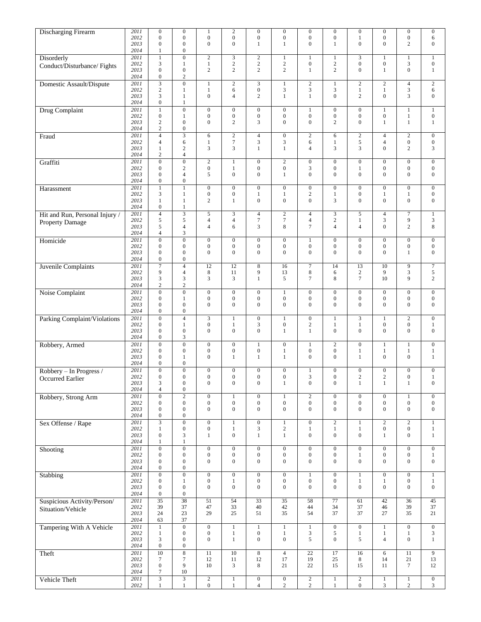| Discharging Firearm            | 2011 | $\mathbf{0}$                 | $\boldsymbol{0}$        | 1                                  | $\boldsymbol{2}$             | $\boldsymbol{0}$                   | $\boldsymbol{0}$  | $\boldsymbol{0}$                 | $\mathbf{0}$                     | $\boldsymbol{0}$               | $\boldsymbol{0}$                 | $\boldsymbol{0}$                 | $\boldsymbol{0}$                     |
|--------------------------------|------|------------------------------|-------------------------|------------------------------------|------------------------------|------------------------------------|-------------------|----------------------------------|----------------------------------|--------------------------------|----------------------------------|----------------------------------|--------------------------------------|
|                                | 2012 | $\mathbf{0}$                 | $\overline{0}$          | $\mathbf{0}$                       | $\boldsymbol{0}$             | $\boldsymbol{0}$                   | $\overline{0}$    | $\boldsymbol{0}$                 | $\boldsymbol{0}$                 | 1                              | $\boldsymbol{0}$                 | $\boldsymbol{0}$                 | 6                                    |
|                                | 2013 | $\mathbf{0}$                 | $\boldsymbol{0}$        | $\mathbf{0}$                       | $\overline{0}$               | $\mathbf{1}$                       | 1                 | 0                                | $\mathbf{1}$                     | $\mathbf{0}$                   | $\mathbf{0}$                     | 2                                | $\boldsymbol{0}$                     |
|                                | 2014 | $\mathbf{1}$                 | $\boldsymbol{0}$        |                                    |                              |                                    |                   |                                  |                                  |                                |                                  |                                  |                                      |
| Disorderly                     | 2011 | $\mathbf{1}$                 | $\overline{0}$          | $\sqrt{2}$                         | 3                            | $\sqrt{2}$                         | 1                 | $\mathbf{1}$                     | $\mathbf{1}$                     | 3                              | $\mathbf{1}$                     | 1                                | $\mathbf{1}$                         |
|                                | 2012 | $\mathfrak{Z}$               | 1                       | $\mathbf{1}$                       | $\sqrt{2}$                   | $\sqrt{2}$                         | $\overline{c}$    | $\boldsymbol{0}$                 | $\sqrt{2}$                       | $\boldsymbol{0}$               | $\boldsymbol{0}$                 | $\mathfrak{Z}$                   | $\boldsymbol{0}$                     |
| Conduct/Disturbance/Fights     | 2013 | $\mathbf{0}$                 | $\boldsymbol{0}$        | $\overline{2}$                     | $\mathbf{2}$                 | $\overline{c}$                     | $\overline{c}$    | $\mathbf{1}$                     | $\mathfrak{2}$                   | $\overline{0}$                 | $\mathbf{1}$                     | $\boldsymbol{0}$                 | $\mathbf{1}$                         |
|                                | 2014 | $\mathbf{0}$                 | $\overline{c}$          |                                    |                              |                                    |                   |                                  |                                  |                                |                                  |                                  |                                      |
| Domestic Assault/Dispute       | 2011 | $\overline{3}$               | $\overline{0}$          | $\mathbf{1}$                       | $\overline{c}$               | $\mathfrak{Z}$                     | $\mathbf{1}$      | $\overline{c}$                   | 1                                | $\overline{c}$                 | $\sqrt{2}$                       | $\overline{4}$                   | $\overline{2}$                       |
|                                | 2012 | 2                            | 1                       | $\mathbf{1}$                       | 6                            | $\boldsymbol{0}$                   | 3                 | 3                                | $\mathfrak{Z}$                   | $\mathbf{1}$                   | $\mathbf{1}$                     | 3                                | 6                                    |
|                                | 2013 | 3                            | $\mathbf{1}$            | $\mathbf{0}$                       | $\overline{4}$               | $\mathbf{2}$                       | $\mathbf{1}$      | $\mathbf{1}$                     | $\boldsymbol{0}$                 | $\overline{c}$                 | $\boldsymbol{0}$                 | 3                                | $\mathbf{0}$                         |
|                                | 2014 | $\mathbf{0}$                 | 1                       |                                    |                              |                                    |                   |                                  |                                  |                                |                                  |                                  |                                      |
| Drug Complaint                 | 2011 | $\mathbf{1}$                 | $\overline{0}$          | $\boldsymbol{0}$                   | $\overline{0}$               | $\boldsymbol{0}$                   | $\boldsymbol{0}$  | 1                                | $\mathbf{0}$                     | $\boldsymbol{0}$               | 1                                | 1                                | $\mathbf{1}$                         |
|                                | 2012 | $\mathbf{0}$                 | 1                       | $\boldsymbol{0}$                   | $\boldsymbol{0}$             | $\boldsymbol{0}$                   | $\boldsymbol{0}$  | 0                                | $\boldsymbol{0}$                 | $\boldsymbol{0}$               | $\boldsymbol{0}$                 | $\mathbf{1}$                     | $\boldsymbol{0}$                     |
|                                | 2013 | 2                            | $\overline{0}$          | $\overline{0}$                     | $\overline{c}$               | 3                                  | $\boldsymbol{0}$  | $\overline{0}$                   | $\mathfrak{2}$                   | $\overline{0}$                 | $\mathbf{1}$                     | $\mathbf{1}$                     | $\mathbf{1}$                         |
|                                | 2014 | $\overline{c}$               | $\boldsymbol{0}$        |                                    |                              |                                    |                   |                                  |                                  |                                |                                  |                                  |                                      |
|                                | 2011 | $\overline{4}$               | $\overline{3}$          |                                    | $\overline{2}$               |                                    |                   | $\overline{2}$                   |                                  |                                |                                  | $\overline{c}$                   |                                      |
| Fraud                          | 2012 | $\overline{4}$               |                         | 6<br>$\mathbf{1}$                  | $\tau$                       | $\overline{4}$<br>$\mathfrak{Z}$   | $\boldsymbol{0}$  |                                  | 6<br>$\mathbf{1}$                | $\overline{c}$<br>5            | 4<br>$\overline{\mathbf{4}}$     | $\boldsymbol{0}$                 | $\boldsymbol{0}$<br>$\boldsymbol{0}$ |
|                                | 2013 | 1                            | 6<br>$\mathbf{2}$       | 3                                  | 3                            | $\mathbf{1}$                       | 3<br>$\mathbf{1}$ | 6<br>4                           | 3                                | 3                              | $\overline{0}$                   | $\mathbf{2}$                     | 3                                    |
|                                | 2014 | $\overline{c}$               | $\overline{4}$          |                                    |                              |                                    |                   |                                  |                                  |                                |                                  |                                  |                                      |
|                                |      | $\overline{0}$               | $\overline{0}$          |                                    |                              |                                    |                   |                                  |                                  |                                |                                  |                                  |                                      |
| Graffiti                       | 2011 |                              |                         | $\sqrt{2}$                         | $\mathbf{1}$                 | $\boldsymbol{0}$                   | $\boldsymbol{2}$  | $\boldsymbol{0}$                 | $\mathbf{0}$<br>$\boldsymbol{0}$ | $\boldsymbol{0}$               | $\mathbf{0}$<br>$\boldsymbol{0}$ | $\boldsymbol{0}$                 | $\mathbf{0}$                         |
|                                | 2012 | $\mathbf{0}$<br>$\mathbf{0}$ | $\sqrt{2}$              | $\boldsymbol{0}$                   | $\mathbf{1}$<br>$\mathbf{0}$ | $\boldsymbol{0}$<br>$\overline{0}$ | $\boldsymbol{0}$  | 3<br>$\overline{0}$              | $\mathbf{0}$                     | $\mathbf{1}$<br>$\overline{0}$ | $\overline{0}$                   | $\boldsymbol{0}$<br>$\mathbf{0}$ | $\boldsymbol{0}$<br>$\boldsymbol{0}$ |
|                                | 2013 |                              | $\overline{4}$          | 5                                  |                              |                                    | $\mathbf{1}$      |                                  |                                  |                                |                                  |                                  |                                      |
|                                | 2014 | $\mathbf{0}$                 | $\boldsymbol{0}$        |                                    |                              |                                    |                   |                                  |                                  |                                |                                  |                                  |                                      |
| Harassment                     | 2011 | $\mathbf{1}$                 | 1                       | $\boldsymbol{0}$                   | $\mathbf{0}$                 | $\boldsymbol{0}$                   | $\boldsymbol{0}$  | 0                                | $\mathbf{0}$                     | $\boldsymbol{0}$               | $\mathbf{0}$                     | $\boldsymbol{0}$                 | $\boldsymbol{0}$                     |
|                                | 2012 | 3                            | 1                       | $\boldsymbol{0}$                   | $\boldsymbol{0}$             | $\mathbf{1}$                       | $\mathbf{1}$      | $\overline{c}$                   | $1\,$                            | $\boldsymbol{0}$               | $\mathbf{1}$                     | 1                                | $\boldsymbol{0}$                     |
|                                | 2013 | $\mathbf{1}$                 | 1                       | $\overline{2}$                     | 1                            | $\boldsymbol{0}$                   | $\overline{0}$    | $\overline{0}$                   | 3                                | $\overline{0}$                 | $\overline{0}$                   | $\overline{0}$                   | $\boldsymbol{0}$                     |
|                                | 2014 | $\mathbf{0}$                 | 1                       |                                    |                              |                                    |                   |                                  |                                  |                                |                                  |                                  |                                      |
| Hit and Run, Personal Injury / | 2011 | $\overline{4}$               | $\overline{\mathbf{3}}$ | 5                                  | 3                            | $\overline{4}$                     | $\mathbf{2}$      | 4                                | 3                                | 5                              | $\overline{\mathbf{4}}$          | $\tau$                           | $\mathbf{1}$                         |
| <b>Property Damage</b>         | 2012 | 5                            | $\sqrt{5}$              | $\overline{4}$                     | $\overline{4}$               | $\tau$                             | $\tau$            | 4                                | $\overline{c}$                   | $\mathbf{1}$                   | 3                                | 9                                | 3                                    |
|                                | 2013 | 5                            | $\overline{4}$          | $\overline{4}$                     | 6                            | 3                                  | 8                 | 7                                | 4                                | $\overline{4}$                 | $\overline{0}$                   | 2                                | 8                                    |
|                                | 2014 | $\overline{4}$               | 3                       |                                    |                              |                                    |                   |                                  |                                  |                                |                                  |                                  |                                      |
| Homicide                       | 2011 | $\mathbf{0}$                 | $\mathbf{0}$            | $\mathbf{0}$                       | $\boldsymbol{0}$             | $\boldsymbol{0}$                   | $\boldsymbol{0}$  | 1                                | $\boldsymbol{0}$                 | $\boldsymbol{0}$               | $\boldsymbol{0}$                 | $\boldsymbol{0}$                 | $\boldsymbol{0}$                     |
|                                | 2012 | $\mathbf{0}$                 | $\mathbf{0}$            | $\boldsymbol{0}$                   | $\boldsymbol{0}$             | $\boldsymbol{0}$                   | $\boldsymbol{0}$  | 0                                | $\boldsymbol{0}$                 | $\boldsymbol{0}$               | $\boldsymbol{0}$                 | $\boldsymbol{0}$                 | $\boldsymbol{0}$                     |
|                                | 2013 | $\mathbf{0}$                 | $\mathbf{0}$            | $\mathbf{0}$                       | $\mathbf{0}$                 | $\boldsymbol{0}$                   | $\overline{0}$    | $\boldsymbol{0}$                 | $\boldsymbol{0}$                 | $\overline{0}$                 | $\overline{0}$                   | 1                                | $\boldsymbol{0}$                     |
|                                | 2014 | $\mathbf{0}$                 | $\boldsymbol{0}$        |                                    |                              |                                    |                   |                                  |                                  |                                |                                  |                                  |                                      |
| Juvenile Complaints            | 2011 | $\overline{7}$               | $\overline{4}$          | 12                                 | 12                           | $\overline{8}$                     | 16                | $\overline{7}$                   | 14                               | 13                             | $\overline{10}$                  | 9                                | $\overline{7}$                       |
|                                | 2012 | 9                            | $\overline{4}$          | 8                                  | 11                           | 9                                  | 13                | 8                                | 6                                | $\mathbf{2}$                   | 9                                | 3                                | 5                                    |
|                                | 2013 | 3                            | $\mathfrak{Z}$          | 3                                  | 3                            | $\mathbf{1}$                       | 5                 | 7                                | 8                                | $\overline{7}$                 | 10                               | 9                                | $\overline{c}$                       |
|                                | 2014 | $\overline{c}$               | $\sqrt{2}$              |                                    |                              |                                    |                   |                                  |                                  |                                |                                  |                                  |                                      |
| Noise Complaint                | 2011 | $\mathbf{0}$                 | $\boldsymbol{0}$        | $\boldsymbol{0}$                   | $\overline{0}$               | $\boldsymbol{0}$                   | $\mathbf{1}$      | $\overline{0}$                   | $\boldsymbol{0}$                 | $\boldsymbol{0}$               | $\boldsymbol{0}$                 | $\boldsymbol{0}$                 | $\boldsymbol{0}$                     |
|                                | 2012 | $\mathbf{0}$                 | 1                       | $\boldsymbol{0}$                   | $\boldsymbol{0}$             | $\boldsymbol{0}$                   | $\boldsymbol{0}$  | 0                                | $\boldsymbol{0}$                 | $\boldsymbol{0}$               | $\boldsymbol{0}$                 | $\boldsymbol{0}$                 | $\boldsymbol{0}$                     |
|                                | 2013 | $\mathbf{0}$                 | $\boldsymbol{0}$        | $\boldsymbol{0}$                   | $\boldsymbol{0}$             | $\boldsymbol{0}$                   | $\mathbf{0}$      | $\overline{0}$                   | $\mathbf{0}$                     | $\overline{0}$                 | $\overline{0}$                   | $\mathbf{0}$                     | $\mathbf{0}$                         |
|                                | 2014 | $\mathbf{0}$                 | $\boldsymbol{0}$        |                                    |                              |                                    |                   |                                  |                                  |                                |                                  |                                  |                                      |
| Parking Complaint/Violations   | 2011 | $\overline{0}$               | $\overline{4}$          | $\overline{3}$                     | $\mathbf{1}$                 | $\overline{0}$                     | $\mathbf{1}$      | $\overline{0}$                   | $\mathbf{1}$                     | $\overline{\mathbf{3}}$        | $\mathbf{1}$                     | $\overline{2}$                   | $\overline{0}$                       |
|                                | 2012 | $\mathbf{0}$                 | $\mathbf{1}$            | $\boldsymbol{0}$                   | $\mathbf{1}$                 | $\mathfrak{Z}$                     | $\boldsymbol{0}$  | $\overline{\mathbf{c}}$          | $\mathbf{1}$                     | $\mathbf{1}$                   | $\boldsymbol{0}$                 | $\boldsymbol{0}$                 | $\mathbf{1}$                         |
|                                | 2013 | $\mathbf{0}$                 | $\boldsymbol{0}$        | $\boldsymbol{0}$                   | $\boldsymbol{0}$             | $\boldsymbol{0}$                   | 1                 | $\mathbf{1}$                     | $\boldsymbol{0}$                 | $\boldsymbol{0}$               | $\boldsymbol{0}$                 | $\boldsymbol{0}$                 | $\boldsymbol{0}$                     |
|                                | 2014 | $\mathbf{0}$                 | 3                       |                                    |                              |                                    |                   |                                  |                                  |                                |                                  |                                  |                                      |
| Robbery, Armed                 | 2011 | $\overline{0}$               | $\overline{0}$          | $\boldsymbol{0}$                   | $\mathbf{0}$                 | $\mathbf{1}$                       | $\boldsymbol{0}$  | $\mathbf{1}$                     | $\sqrt{2}$                       | $\overline{0}$                 | 1                                | $\mathbf{1}$                     | $\overline{0}$                       |
|                                | 2012 | $\mathbf{0}$                 | $\mathbf{0}$            | $\boldsymbol{0}$                   | $\mathbf{0}$                 | $\boldsymbol{0}$                   | $\mathbf{1}$      | 0                                | $\boldsymbol{0}$                 | $\mathbf{1}$                   | $\mathbf{1}$                     | $\mathbf{1}$                     | $\mathbf{1}$                         |
|                                | 2013 | $\mathbf{0}$                 | 1                       | $\overline{0}$                     | 1                            | $\mathbf{1}$                       | 1                 | 0                                | $\boldsymbol{0}$                 | 1                              | $\boldsymbol{0}$                 | $\boldsymbol{0}$                 | $\mathbf{1}$                         |
|                                | 2014 | $\mathbf{0}$                 | $\mathbf{0}$            |                                    |                              |                                    |                   |                                  |                                  |                                |                                  |                                  |                                      |
| Robbery - In Progress /        | 2011 | $\boldsymbol{0}$             | $\overline{0}$          | $\boldsymbol{0}$                   | $\mathbf{0}$                 | $\boldsymbol{0}$                   | $\boldsymbol{0}$  | 1                                | $\boldsymbol{0}$                 | $\boldsymbol{0}$               | $\boldsymbol{0}$                 | $\boldsymbol{0}$                 | $\boldsymbol{0}$                     |
| Occurred Earlier               | 2012 | $\mathbf{0}$                 | $\mathbf{0}$            | $\overline{0}$                     | $\mathbf{0}$                 | $\mathbf{0}$                       | $\mathbf{0}$      | 3                                | $\overline{0}$                   | $\overline{\mathbf{c}}$        | $\boldsymbol{2}$                 | $\mathbf{0}$                     | $\mathbf{1}$                         |
|                                | 2013 | 3                            | $\boldsymbol{0}$        | $\boldsymbol{0}$                   | $\boldsymbol{0}$             | $\boldsymbol{0}$                   | $\,1$             | $\boldsymbol{0}$                 | $\boldsymbol{0}$                 | $\mathbf{1}$                   | $1\,$                            | $\mathbf{1}$                     | $\mathbf{0}$                         |
|                                | 2014 | $\overline{4}$               | $\boldsymbol{0}$        |                                    |                              |                                    |                   |                                  |                                  |                                |                                  |                                  |                                      |
| Robbery, Strong Arm            | 2011 | $\overline{0}$               | $\overline{2}$          | $\boldsymbol{0}$                   | $\mathbf{1}$                 | $\boldsymbol{0}$                   | $\mathbf{1}$      | $\overline{2}$                   | $\overline{0}$                   | $\overline{0}$                 | $\overline{0}$                   | $\mathbf{1}$                     | $\overline{0}$                       |
|                                | 2012 | $\mathbf{0}$                 | $\boldsymbol{0}$        | $\boldsymbol{0}$                   | $\boldsymbol{0}$             | $\boldsymbol{0}$                   | $\boldsymbol{0}$  | $\boldsymbol{0}$                 | $\boldsymbol{0}$                 | $\boldsymbol{0}$               | $\boldsymbol{0}$                 | $\boldsymbol{0}$                 | $\mathbf{0}$                         |
|                                | 2013 | $\mathbf{0}$                 | $\boldsymbol{0}$        | $\boldsymbol{0}$                   | $\mathbf{0}$                 | $\boldsymbol{0}$                   | $\boldsymbol{0}$  | $\boldsymbol{0}$                 | $\boldsymbol{0}$                 | $\boldsymbol{0}$               | $\overline{0}$                   | $\boldsymbol{0}$                 | $\boldsymbol{0}$                     |
|                                | 2014 | $\boldsymbol{0}$             | $\boldsymbol{0}$        |                                    |                              |                                    |                   |                                  |                                  |                                |                                  |                                  |                                      |
| Sex Offense / Rape             | 2011 | $\overline{3}$               | $\overline{0}$          | $\overline{0}$                     | $\mathbf{1}$                 | $\boldsymbol{0}$                   | $\mathbf{1}$      | $\overline{0}$                   | $\overline{2}$                   | $\mathbf{1}$                   | $\overline{2}$                   | $\overline{2}$                   | $\mathbf{1}$                         |
|                                | 2012 | 1                            | $\boldsymbol{0}$        | $\boldsymbol{0}$                   | 1                            | $\mathfrak{Z}$                     | $\overline{c}$    | 1                                | $\mathbf{1}$                     | $\mathbf{1}$                   | $\overline{0}$                   | $\boldsymbol{0}$                 | $\mathbf{1}$                         |
|                                | 2013 | $\mathbf{0}$                 | 3                       | $\mathbf{1}$                       | $\mathbf{0}$                 | $\mathbf{1}$                       | $\mathbf{1}$      | $\boldsymbol{0}$                 | $\mathbf{0}$                     | $\overline{0}$                 | $\mathbf{1}$                     | $\boldsymbol{0}$                 | $\mathbf{1}$                         |
|                                | 2014 | $\mathbf{1}$                 | $\mathbf{1}$            |                                    |                              |                                    |                   |                                  |                                  |                                |                                  |                                  |                                      |
| Shooting                       | 2011 | $\overline{0}$               | $\overline{0}$          | $\boldsymbol{0}$                   | $\boldsymbol{0}$             | $\boldsymbol{0}$                   | $\boldsymbol{0}$  | $\boldsymbol{0}$                 | $\mathbf{0}$                     | $\overline{0}$                 | $\boldsymbol{0}$                 | $\boldsymbol{0}$                 | $\boldsymbol{0}$                     |
|                                | 2012 | $\mathbf{0}$                 | $\boldsymbol{0}$        | $\boldsymbol{0}$                   | $\boldsymbol{0}$             | $\boldsymbol{0}$                   | $\boldsymbol{0}$  | $\boldsymbol{0}$                 | $\boldsymbol{0}$                 | $\mathbf{1}$                   | $\boldsymbol{0}$                 | $\boldsymbol{0}$                 | $\mathbf{1}$                         |
|                                | 2013 | $\mathbf{0}$                 | $\boldsymbol{0}$        | $\boldsymbol{0}$                   | $\overline{0}$               | $\boldsymbol{0}$                   | $\boldsymbol{0}$  | 0                                | $\boldsymbol{0}$                 | $\boldsymbol{0}$               | $\overline{0}$                   | $\boldsymbol{0}$                 | $\boldsymbol{0}$                     |
|                                | 2014 | $\boldsymbol{0}$             | $\boldsymbol{0}$        |                                    |                              |                                    |                   |                                  |                                  |                                |                                  |                                  |                                      |
| Stabbing                       | 2011 | $\overline{0}$               | $\overline{0}$          | $\overline{0}$                     | $\overline{0}$               | $\boldsymbol{0}$                   | $\boldsymbol{0}$  | $\mathbf{1}$                     | $\boldsymbol{0}$                 | $\mathbf{1}$                   | $\overline{0}$                   | $\boldsymbol{0}$                 | $1\,$                                |
|                                | 2012 | $\mathbf{0}$                 | $\mathbf{1}$            | $\boldsymbol{0}$                   | $\mathbf{1}$                 | $\boldsymbol{0}$                   | $\boldsymbol{0}$  | $\boldsymbol{0}$                 | $\boldsymbol{0}$                 | $\mathbf{1}$                   | $\mathbf{1}$                     | $\boldsymbol{0}$                 | $\mathbf{1}$                         |
|                                | 2013 | $\mathbf{0}$                 | $\boldsymbol{0}$        | $\boldsymbol{0}$                   | $\mathbf{0}$                 | $\mathbf{0}$                       | $\boldsymbol{0}$  | 0                                | $\mathbf{0}$                     | $\boldsymbol{0}$               | $\boldsymbol{0}$                 | $\boldsymbol{0}$                 | $\mathbf{0}$                         |
|                                | 2014 | $\boldsymbol{0}$             | $\overline{0}$          |                                    |                              |                                    |                   |                                  |                                  |                                |                                  |                                  |                                      |
| Suspicious Activity/Person/    | 2011 | $\overline{35}$              | 38                      | 51                                 | 54                           | $\overline{33}$                    | $\overline{35}$   | 58                               | 77                               | 61                             | 42                               | 36                               | 45                                   |
|                                | 2012 | 39                           | 37                      | 47                                 | 33                           | 40                                 | 42                | 44                               | 34                               | 37                             | 46                               | 39                               | 37                                   |
| Situation/Vehicle              | 2013 | 24                           | 23                      | 29                                 | 25                           | 51                                 | 35                | 54                               | 37                               | 37                             | 27                               | 35                               | 21                                   |
|                                | 2014 | 63                           | 37                      |                                    |                              |                                    |                   |                                  |                                  |                                |                                  |                                  |                                      |
| Tampering With A Vehicle       | 2011 | $\mathbf{1}$                 | $\overline{0}$          | $\boldsymbol{0}$                   | $\mathbf{1}$                 | $\mathbf{1}$                       | $\mathbf{1}$      | $\mathbf{1}$                     | $\boldsymbol{0}$                 | $\overline{0}$                 | $\mathbf{1}$                     | $\boldsymbol{0}$                 | $\boldsymbol{0}$                     |
|                                | 2012 | $\mathbf{1}$                 | $\boldsymbol{0}$        | $\boldsymbol{0}$                   | $\mathbf{1}$                 | $\boldsymbol{0}$                   | $\mathbf{1}$      | 3                                | 5                                | $\mathbf{1}$                   | $\mathbf{1}$                     | 1                                | 3                                    |
|                                | 2013 | 3                            | $\boldsymbol{0}$        | $\boldsymbol{0}$                   | $\mathbf{1}$                 | $\boldsymbol{0}$                   | $\boldsymbol{0}$  | 5                                | $\boldsymbol{0}$                 | 5                              | $\overline{4}$                   | $\boldsymbol{0}$                 | $\mathbf{1}$                         |
|                                | 2014 | $\mathbf{0}$                 | $\boldsymbol{0}$        |                                    |                              |                                    |                   |                                  |                                  |                                |                                  |                                  |                                      |
| Theft                          | 2011 | 10                           | $\overline{8}$          | 11                                 | 10                           | $\overline{8}$                     | $\overline{4}$    | $\overline{22}$                  | 17                               | 16                             | 6                                | 11                               | 9                                    |
|                                | 2012 | $\tau$                       | $\tau$                  | 12                                 | 11                           | 12                                 | 17                | 19                               | $25\,$                           | 8                              | 14                               | 21                               | 13                                   |
|                                | 2013 | $\mathbf{0}$                 | 9                       | 10                                 | 3                            | 8                                  | 21                | 22                               | 15                               | 15                             | 11                               | $\tau$                           | 12                                   |
|                                | 2014 | $\tau$                       | $10\,$                  |                                    |                              |                                    |                   |                                  |                                  |                                |                                  |                                  |                                      |
|                                | 2011 | $\overline{3}$               | $\overline{3}$          |                                    | $\mathbf{1}$                 | $\boldsymbol{0}$                   | $\boldsymbol{0}$  |                                  |                                  |                                | $\mathbf{1}$                     |                                  | $\boldsymbol{0}$                     |
| Vehicle Theft                  | 2012 | $\mathbf{1}$                 | $\mathbf{1}$            | $\overline{c}$<br>$\boldsymbol{0}$ | $\mathbf{1}$                 | $\sqrt{4}$                         | $\overline{c}$    | $\overline{c}$<br>$\overline{c}$ | $\mathbf{1}$<br>$\mathbf{1}$     | $\frac{2}{0}$                  | $\mathfrak{Z}$                   | $\mathbf{1}$<br>$\overline{2}$   | 3                                    |
|                                |      |                              |                         |                                    |                              |                                    |                   |                                  |                                  |                                |                                  |                                  |                                      |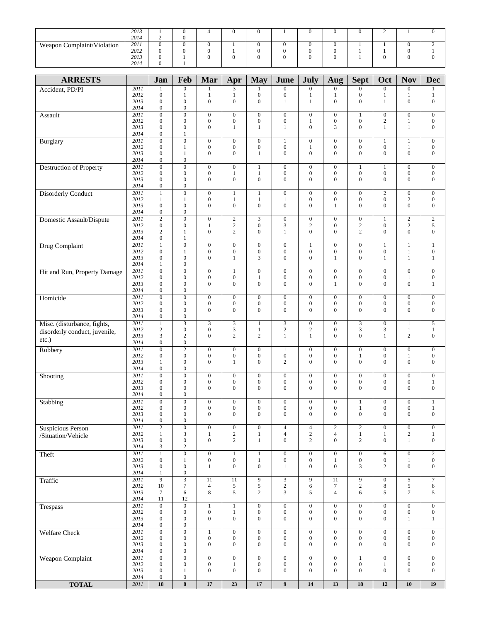|                            | 2013 |        |  |  |  |  |  |  |
|----------------------------|------|--------|--|--|--|--|--|--|
|                            | 2014 |        |  |  |  |  |  |  |
| Weapon Complaint/Violation | 2011 | $\sim$ |  |  |  |  |  |  |
|                            | 2012 |        |  |  |  |  |  |  |
|                            | 2013 |        |  |  |  |  |  |  |
|                            | 2014 |        |  |  |  |  |  |  |

| <b>ARRESTS</b>                                               |              | Jan                                  | Feb                                         | Mar                                  | Apr                                  | <b>May</b>                           | June                                 | July                                 | Aug                                | <b>Sept</b>                          | Oct                                | <b>Nov</b>                           | <b>Dec</b>                           |
|--------------------------------------------------------------|--------------|--------------------------------------|---------------------------------------------|--------------------------------------|--------------------------------------|--------------------------------------|--------------------------------------|--------------------------------------|------------------------------------|--------------------------------------|------------------------------------|--------------------------------------|--------------------------------------|
| Accident, PD/PI                                              | 2011         |                                      | $\boldsymbol{0}$                            |                                      | 3                                    |                                      | $\boldsymbol{0}$                     | $\boldsymbol{0}$                     | $\mathbf{0}$                       | $\boldsymbol{0}$                     | $\boldsymbol{0}$                   | $\boldsymbol{0}$                     | 1                                    |
|                                                              | 2012<br>2013 | $\boldsymbol{0}$<br>$\mathbf{0}$     | $\mathbf{1}$<br>$\mathbf{0}$                | $\mathbf{1}$<br>$\mathbf{0}$         | 1<br>$\mathbf{0}$                    | $\boldsymbol{0}$<br>$\mathbf{0}$     | $\boldsymbol{0}$<br>$\mathbf{1}$     | 1<br>$\mathbf{1}$                    | $\mathbf{1}$<br>$\mathbf{0}$       | $\boldsymbol{0}$<br>$\overline{0}$   | $\mathbf{1}$<br>$\mathbf{1}$       | 1<br>$\mathbf{0}$                    | $\mathbf{1}$<br>$\boldsymbol{0}$     |
|                                                              | 2014         | $\boldsymbol{0}$                     | $\mathbf{0}$                                |                                      |                                      |                                      |                                      |                                      |                                    |                                      |                                    |                                      |                                      |
| Assault                                                      | 2011<br>2012 | $\boldsymbol{0}$<br>$\boldsymbol{0}$ | $\overline{0}$<br>$\mathbf{0}$              | $\mathbf{0}$<br>$\boldsymbol{0}$     | $\boldsymbol{0}$<br>$\boldsymbol{0}$ | $\boldsymbol{0}$<br>$\boldsymbol{0}$ | $\boldsymbol{0}$<br>$\boldsymbol{0}$ | $\mathbf{0}$<br>$\mathbf{1}$         | $\mathbf{0}$<br>$\boldsymbol{0}$   | $\mathbf{1}$<br>$\boldsymbol{0}$     | $\boldsymbol{0}$<br>$\sqrt{2}$     | $\overline{0}$<br>$\mathbf{1}$       | $\boldsymbol{0}$<br>$\boldsymbol{0}$ |
|                                                              | 2013         | $\mathbf{0}$                         | $\mathbf{0}$                                | $\Omega$                             | $\mathbf{1}$                         | $\mathbf{1}$                         | $\mathbf{1}$                         | $\overline{0}$                       | 3                                  | $\overline{0}$                       | $\mathbf{1}$                       | $\mathbf{1}$                         | $\boldsymbol{0}$                     |
|                                                              | 2014         | $\mathbf{0}$                         | $\mathbf{1}$                                |                                      |                                      |                                      |                                      |                                      |                                    |                                      |                                    |                                      |                                      |
| Burglary                                                     | 2011<br>2012 | $\boldsymbol{0}$<br>$\mathbf{0}$     | $\boldsymbol{0}$<br>1                       | $\boldsymbol{0}$<br>$\boldsymbol{0}$ | $\boldsymbol{0}$<br>$\boldsymbol{0}$ | $\boldsymbol{0}$<br>$\boldsymbol{0}$ | $\mathbf{1}$<br>$\boldsymbol{0}$     | $\overline{0}$<br>$\mathbf{1}$       | $\boldsymbol{0}$<br>$\mathbf{0}$   | $\boldsymbol{0}$<br>$\boldsymbol{0}$ | $\mathbf{1}$<br>$\boldsymbol{0}$   | $\mathbf{1}$<br>1                    | $\boldsymbol{0}$<br>$\boldsymbol{0}$ |
|                                                              | 2013         | $\mathbf{0}$                         | $\mathbf{1}$                                | $\mathbf{0}$                         | $\boldsymbol{0}$                     | $\mathbf{1}$                         | $\mathbf{0}$                         | $\mathbf{0}$                         | $\boldsymbol{0}$                   | $\mathbf{0}$                         | $\mathbf{0}$                       | $\boldsymbol{0}$                     | $\boldsymbol{0}$                     |
| Destruction of Property                                      | 2014<br>2011 | $\mathbf{0}$<br>$\boldsymbol{0}$     | $\mathbf{0}$<br>$\boldsymbol{0}$            | $\boldsymbol{0}$                     | $\boldsymbol{0}$                     | $\mathbf{1}$                         | $\boldsymbol{0}$                     | $\overline{0}$                       | $\mathbf{0}$                       | $\mathbf{1}$                         | $\mathbf{1}$                       | $\boldsymbol{0}$                     | $\boldsymbol{0}$                     |
|                                                              | 2012         | $\mathbf{0}$                         | $\mathbf{0}$                                | $\boldsymbol{0}$                     | $\mathbf{1}$                         | $\mathbf{1}$                         | $\boldsymbol{0}$                     | $\boldsymbol{0}$                     | $\mathbf 0$                        | $\boldsymbol{0}$                     | $\boldsymbol{0}$                   | $\boldsymbol{0}$                     | $\boldsymbol{0}$                     |
|                                                              | 2013<br>2014 | $\mathbf{0}$<br>$\boldsymbol{0}$     | $\boldsymbol{0}$<br>$\mathbf{0}$            | $\mathbf{0}$                         | $\boldsymbol{0}$                     | $\mathbf{0}$                         | $\boldsymbol{0}$                     | $\mathbf{0}$                         | $\boldsymbol{0}$                   | $\mathbf{0}$                         | $\mathbf{0}$                       | $\mathbf{0}$                         | $\boldsymbol{0}$                     |
| <b>Disorderly Conduct</b>                                    | 2011         | $\mathbf{1}$                         | $\boldsymbol{0}$                            | $\boldsymbol{0}$                     | $\mathbf{1}$                         | $\mathbf{1}$                         | $\boldsymbol{0}$                     | $\overline{0}$                       | $\boldsymbol{0}$                   | $\boldsymbol{0}$                     | $\overline{2}$                     | $\boldsymbol{0}$                     | $\boldsymbol{0}$                     |
|                                                              | 2012         | 1                                    | 1                                           | $\mathbf{0}$                         | $\mathbf{1}$                         | $\mathbf{1}$                         | $\mathbf{1}$                         | $\boldsymbol{0}$                     | $\boldsymbol{0}$                   | $\boldsymbol{0}$                     | $\mathbf 0$                        | $\boldsymbol{2}$                     | $\boldsymbol{0}$                     |
|                                                              | 2013<br>2014 | $\mathbf{0}$<br>$\boldsymbol{0}$     | $\mathbf{0}$<br>$\mathbf{0}$                | $\mathbf{0}$                         | $\mathbf{0}$                         | $\mathbf{0}$                         | $\boldsymbol{0}$                     | $\mathbf{0}$                         | $\mathbf{1}$                       | $\mathbf{0}$                         | $\mathbf{0}$                       | $\boldsymbol{0}$                     | $\boldsymbol{0}$                     |
| Domestic Assault/Dispute                                     | 2011         | $\overline{2}$                       | $\overline{0}$                              | $\boldsymbol{0}$                     | $\overline{2}$                       | $\overline{\mathbf{3}}$              | $\overline{0}$                       | $\overline{0}$                       | $\mathbf{0}$                       | $\boldsymbol{0}$                     | $\mathbf{1}$                       | $\overline{2}$                       | $\overline{2}$                       |
|                                                              | 2012<br>2013 | $\mathbf{0}$<br>2                    | $\boldsymbol{0}$<br>$\mathbf{1}$            | $\mathbf{1}$<br>$\mathbf{0}$         | $\sqrt{2}$<br>$\mathbf{2}$           | $\boldsymbol{0}$<br>$\mathbf{0}$     | 3<br>$\mathbf{1}$                    | $\sqrt{2}$<br>$\overline{0}$         | $\mathbf{0}$<br>$\mathbf{0}$       | $\sqrt{2}$<br>2                      | $\boldsymbol{0}$<br>$\overline{0}$ | $\sqrt{2}$<br>$\boldsymbol{0}$       | 5<br>$\boldsymbol{0}$                |
|                                                              | 2014         | $\boldsymbol{0}$                     | 1                                           |                                      |                                      |                                      |                                      |                                      |                                    |                                      |                                    |                                      |                                      |
| Drug Complaint                                               | 2011         | $\mathbf{1}$                         | $\overline{0}$                              | $\boldsymbol{0}$                     | $\overline{0}$                       | $\overline{0}$                       | $\overline{0}$                       | $\mathbf{1}$                         | $\overline{0}$                     | $\overline{0}$                       | $\mathbf{1}$                       | 1                                    | $\overline{1}$                       |
|                                                              | 2012<br>2013 | $\mathbf{0}$<br>$\mathbf{0}$         | 1<br>$\mathbf{0}$                           | $\mathbf{0}$<br>$\mathbf{0}$         | $\boldsymbol{0}$<br>$\mathbf{1}$     | $\boldsymbol{0}$<br>3                | $\boldsymbol{0}$<br>$\mathbf{0}$     | $\mathbf{0}$<br>$\boldsymbol{0}$     | $\boldsymbol{0}$<br>$\mathbf{1}$   | $\mathbf{0}$<br>$\mathbf{0}$         | $\boldsymbol{0}$<br>$\mathbf{1}$   | $\mathbf{1}$<br>$\mathbf{1}$         | $\boldsymbol{0}$<br>$\mathbf{1}$     |
|                                                              | 2014         | 1                                    | $\boldsymbol{0}$                            |                                      |                                      |                                      |                                      |                                      |                                    |                                      |                                    |                                      |                                      |
| Hit and Run, Property Damage                                 | 2011<br>2012 | $\mathbf{0}$<br>$\mathbf{0}$         | $\overline{0}$<br>$\mathbf{0}$              | $\boldsymbol{0}$<br>$\mathbf{0}$     | $\overline{1}$<br>$\boldsymbol{0}$   | $\mathbf{0}$<br>$\mathbf{1}$         | $\overline{0}$<br>$\boldsymbol{0}$   | $\overline{0}$<br>$\boldsymbol{0}$   | $\overline{0}$<br>$\boldsymbol{0}$ | $\boldsymbol{0}$<br>$\boldsymbol{0}$ | $\overline{0}$<br>$\boldsymbol{0}$ | $\boldsymbol{0}$<br>$\mathbf{1}$     | $\overline{0}$<br>$\boldsymbol{0}$   |
|                                                              | 2013         | $\mathbf{0}$                         | $\mathbf{0}$                                | $\mathbf{0}$                         | $\boldsymbol{0}$                     | $\mathbf{0}$                         | $\boldsymbol{0}$                     | $\mathbf{0}$                         | $\mathbf{1}$                       | $\mathbf{0}$                         | $\mathbf{0}$                       | $\mathbf{0}$                         | $\mathbf{1}$                         |
|                                                              | 2014         | $\mathbf{0}$                         | $\boldsymbol{0}$                            |                                      |                                      |                                      |                                      |                                      |                                    |                                      |                                    |                                      |                                      |
| Homicide                                                     | 2011<br>2012 | $\overline{0}$<br>$\mathbf{0}$       | $\overline{0}$<br>$\boldsymbol{0}$          | $\boldsymbol{0}$<br>$\mathbf{0}$     | $\boldsymbol{0}$<br>$\boldsymbol{0}$ | $\mathbf{0}$<br>$\mathbf{0}$         | $\boldsymbol{0}$<br>$\boldsymbol{0}$ | $\overline{0}$<br>$\boldsymbol{0}$   | $\mathbf{0}$<br>$\mathbf{0}$       | $\boldsymbol{0}$<br>$\mathbf{0}$     | $\mathbf{0}$<br>$\boldsymbol{0}$   | $\boldsymbol{0}$<br>$\boldsymbol{0}$ | $\boldsymbol{0}$<br>$\boldsymbol{0}$ |
|                                                              | 2013         | $\mathbf{0}$                         | $\mathbf{0}$                                | $\mathbf{0}$                         | $\boldsymbol{0}$                     | $\mathbf{0}$                         | $\boldsymbol{0}$                     | $\mathbf{0}$                         | $\mathbf{0}$                       | $\mathbf{0}$                         | $\overline{0}$                     | $\boldsymbol{0}$                     | $\boldsymbol{0}$                     |
|                                                              | 2014<br>2011 | $\mathbf{0}$                         | $\boldsymbol{0}$<br>$\overline{\mathbf{3}}$ |                                      |                                      |                                      | $\overline{3}$                       |                                      |                                    |                                      | $\overline{0}$                     |                                      |                                      |
| Misc. (disturbance, fights,<br>disorderly conduct, juvenile, | 2012         | $\mathbf{1}$<br>$\mathbf{2}$         | $\boldsymbol{0}$                            | $\overline{3}$<br>$\boldsymbol{0}$   | $\mathfrak{Z}$                       | $\mathbf{1}$<br>$\mathbf{1}$         | $\sqrt{2}$                           | $\overline{0}$<br>$\boldsymbol{2}$   | $\mathbf{0}$<br>$\boldsymbol{0}$   | $\overline{3}$<br>$\mathfrak{Z}$     | $\mathfrak{Z}$                     | 1<br>$\mathbf{1}$                    | $\overline{5}$<br>$\,1$              |
| $etc.$ )                                                     | 2013         | 3                                    | $\mathfrak{2}$                              | $\mathbf{0}$                         | $\sqrt{2}$                           | $\overline{2}$                       | $\mathbf{1}$                         | $\mathbf{1}$                         | $\overline{0}$                     | $\Omega$                             | $\mathbf{1}$                       | $\overline{c}$                       | $\boldsymbol{0}$                     |
| Robbery                                                      | 2014<br>2011 | $\mathbf{0}$<br>$\mathbf{0}$         | $\mathbf{0}$<br>$\overline{2}$              | $\boldsymbol{0}$                     | $\boldsymbol{0}$                     | $\boldsymbol{0}$                     | $\mathbf{1}$                         | $\overline{0}$                       | $\mathbf{0}$                       | $\boldsymbol{0}$                     | $\boldsymbol{0}$                   | $\boldsymbol{0}$                     | $\boldsymbol{0}$                     |
|                                                              | 2012         | $\mathbf{0}$                         | $\mathbf{0}$                                | $\boldsymbol{0}$                     | $\boldsymbol{0}$                     | $\boldsymbol{0}$                     | $\boldsymbol{0}$                     | $\boldsymbol{0}$                     | $\mathbf{0}$                       | $\mathbf{1}$                         | $\boldsymbol{0}$                   | $\mathbf{1}$                         | $\boldsymbol{0}$                     |
|                                                              | 2013<br>2014 | 1<br>$\mathbf{0}$                    | $\mathbf{0}$<br>$\mathbf{0}$                | $\Omega$                             | $\mathbf{1}$                         | $\mathbf{0}$                         | $\overline{c}$                       | $\mathbf{0}$                         | $\mathbf{0}$                       | $\mathbf{0}$                         | $\theta$                           | $\boldsymbol{0}$                     | $\boldsymbol{0}$                     |
| Shooting                                                     | 2011         | $\boldsymbol{0}$                     | $\mathbf{0}$                                | $\boldsymbol{0}$                     | $\mathbf{0}$                         | $\boldsymbol{0}$                     | $\boldsymbol{0}$                     | $\overline{0}$                       | $\boldsymbol{0}$                   | $\boldsymbol{0}$                     | $\boldsymbol{0}$                   | $\boldsymbol{0}$                     | $\boldsymbol{0}$                     |
|                                                              | 2012         | $\mathbf{0}$                         | $\mathbf{0}$                                | $\boldsymbol{0}$                     | $\boldsymbol{0}$                     | $\mathbf{0}$                         | $\boldsymbol{0}$                     | $\boldsymbol{0}$                     | $\boldsymbol{0}$                   | $\boldsymbol{0}$                     | $\boldsymbol{0}$                   | $\boldsymbol{0}$                     | $\mathbf{1}$                         |
|                                                              | 2013<br>2014 | $\mathbf{0}$<br>$\mathbf{0}$         | $\boldsymbol{0}$<br>$\mathbf{0}$            | $\mathbf{0}$                         | $\boldsymbol{0}$                     | $\boldsymbol{0}$                     | $\mathbf{0}$                         | $\mathbf{0}$                         | $\mathbf{0}$                       | $\mathbf{0}$                         | $\mathbf{0}$                       | $\boldsymbol{0}$                     | $\boldsymbol{0}$                     |
| Stabbing                                                     | 2011         | $\boldsymbol{0}$                     | $\boldsymbol{0}$                            | $\boldsymbol{0}$                     | $\mathbf{0}$                         | $\mathbf{0}$                         | $\boldsymbol{0}$                     | $\mathbf{0}$                         | $\mathbf{0}$                       | $\mathbf{1}$                         | $\mathbf{0}$                       | $\overline{0}$                       | $\mathbf{1}$                         |
|                                                              | 2012<br>2013 | $\mathbf{0}$<br>$\mathbf{0}$         | $\boldsymbol{0}$<br>$\boldsymbol{0}$        | $\mathbf{0}$<br>$\mathbf{0}$         | $\boldsymbol{0}$<br>$\mathbf{0}$     | $\mathbf{0}$<br>$\mathbf{0}$         | $\boldsymbol{0}$<br>$\boldsymbol{0}$ | $\boldsymbol{0}$<br>$\boldsymbol{0}$ | $\mathbf{0}$<br>$\boldsymbol{0}$   | $\mathbf{1}$<br>$\mathbf{0}$         | $\mathbf{0}$<br>$\mathbf{0}$       | $\boldsymbol{0}$<br>$\mathbf{0}$     | $\mathbf{1}$<br>$\boldsymbol{0}$     |
|                                                              | 2014         | $\mathbf{0}$                         | $\mathbf{0}$                                |                                      |                                      |                                      |                                      |                                      |                                    |                                      |                                    |                                      |                                      |
| Suspicious Person                                            | 2011         | 2                                    | $\boldsymbol{0}$                            | $\boldsymbol{0}$                     | $\boldsymbol{0}$                     | $\boldsymbol{0}$                     | 4                                    | $\overline{4}$                       | 2                                  | $\overline{c}$                       | $\boldsymbol{0}$                   | $\bf{0}$                             | $\boldsymbol{0}$                     |
| /Situation/Vehicle                                           | 2012<br>2013 | $\mathbf{1}$<br>$\boldsymbol{0}$     | 3<br>$\mathbf{0}$                           | $\mathbf{1}$<br>$\boldsymbol{0}$     | $\sqrt{2}$<br>$\overline{2}$         | $\mathbf{1}$<br>$\mathbf{1}$         | $\overline{4}$<br>$\boldsymbol{0}$   | $\sqrt{2}$<br>$\overline{c}$         | $\overline{4}$<br>$\mathbf{0}$     | $\mathbf{1}$<br>$\overline{2}$       | $\mathbf{1}$<br>$\mathbf{0}$       | $\sqrt{2}$<br>$\mathbf{1}$           | $\mathbf{1}$<br>$\boldsymbol{0}$     |
|                                                              | 2014         | $\mathfrak{Z}$                       | $\overline{c}$                              |                                      |                                      |                                      |                                      |                                      |                                    |                                      |                                    |                                      |                                      |
| Theft                                                        | 2011<br>2012 | $\mathbf{1}$<br>$\boldsymbol{0}$     | $\overline{0}$<br>$\mathbf{1}$              | $\overline{0}$<br>$\boldsymbol{0}$   | $\mathbf{1}$<br>$\boldsymbol{0}$     | $\mathbf{1}$                         | $\overline{0}$<br>$\boldsymbol{0}$   | $\overline{0}$<br>$\boldsymbol{0}$   | $\overline{0}$<br>$1\,$            | $\overline{0}$<br>$\boldsymbol{0}$   | 6<br>$\boldsymbol{0}$              | $\overline{0}$                       | $\overline{2}$<br>$\boldsymbol{0}$   |
|                                                              | 2013         | $\boldsymbol{0}$                     | $\boldsymbol{0}$                            | $\mathbf{1}$                         | $\boldsymbol{0}$                     | $\mathbf{1}$<br>$\mathbf{0}$         | $1\,$                                | $\overline{0}$                       | $\mathbf{0}$                       | 3                                    | $\overline{c}$                     | $\mathbf{1}$<br>$\boldsymbol{0}$     | $\boldsymbol{0}$                     |
|                                                              | 2014         | 1                                    | $\boldsymbol{0}$                            |                                      |                                      |                                      |                                      |                                      |                                    |                                      |                                    |                                      |                                      |
| Traffic                                                      | 2011<br>2012 | 9<br>10                              | $\overline{\mathbf{3}}$<br>$\tau$           | 11<br>$\overline{4}$                 | 11<br>5                              | $\overline{9}$<br>5                  | $\sqrt{3}$<br>$\sqrt{2}$             | $\overline{9}$<br>6                  | 11<br>$\tau$                       | $\frac{9}{2}$                        | $\boldsymbol{0}$<br>$\,$ 8 $\,$    | $\sqrt{5}$<br>5                      | $\boldsymbol{7}$<br>$\bf 8$          |
|                                                              | 2013         | $\tau$                               | 6                                           | $\,8\,$                              | $\sqrt{5}$                           | $\overline{2}$                       | $\overline{3}$                       | 5                                    | $\overline{4}$                     | 6                                    | 5                                  | $\tau$                               | 5                                    |
|                                                              | 2014<br>2011 | 11<br>$\boldsymbol{0}$               | 12<br>$\overline{0}$                        | $\mathbf{1}$                         | $\mathbf{1}$                         | $\boldsymbol{0}$                     | $\boldsymbol{0}$                     | $\overline{0}$                       | $\boldsymbol{0}$                   | $\overline{0}$                       | $\overline{0}$                     | $\overline{0}$                       | $\boldsymbol{0}$                     |
| Trespass                                                     | 2012         | $\boldsymbol{0}$                     | $\overline{0}$                              | $\boldsymbol{0}$                     | $1\,$                                | $\boldsymbol{0}$                     | $\boldsymbol{0}$                     | $\boldsymbol{0}$                     | $\boldsymbol{0}$                   | $\boldsymbol{0}$                     | $\boldsymbol{0}$                   | $\boldsymbol{0}$                     | $\boldsymbol{0}$                     |
|                                                              | 2013         | $\boldsymbol{0}$                     | $\boldsymbol{0}$                            | $\mathbf{0}$                         | $\boldsymbol{0}$                     | $\overline{0}$                       | $\boldsymbol{0}$                     | $\overline{0}$                       | $\mathbf{0}$                       | $\overline{0}$                       | $\mathbf{0}$                       | 1                                    | $\mathbf{1}$                         |
| <b>Welfare Check</b>                                         | 2014<br>2011 | $\boldsymbol{0}$<br>$\boldsymbol{0}$ | $\mathbf{0}$<br>$\boldsymbol{0}$            | $\mathbf{1}$                         | $\boldsymbol{0}$                     | $\boldsymbol{0}$                     | $\boldsymbol{0}$                     | $\boldsymbol{0}$                     | $\boldsymbol{0}$                   | $\boldsymbol{0}$                     | $\boldsymbol{0}$                   | $\boldsymbol{0}$                     | $\boldsymbol{0}$                     |
|                                                              | 2012         | $\boldsymbol{0}$                     | $\boldsymbol{0}$                            | $\boldsymbol{0}$                     | $\boldsymbol{0}$                     | $\boldsymbol{0}$                     | $\boldsymbol{0}$                     | $\boldsymbol{0}$                     | $\boldsymbol{0}$                   | $\boldsymbol{0}$                     | $\boldsymbol{0}$                   | $\boldsymbol{0}$                     | $\boldsymbol{0}$                     |
|                                                              | 2013<br>2014 | $\boldsymbol{0}$<br>$\boldsymbol{0}$ | $\mathbf{0}$<br>$\mathbf{0}$                | $\boldsymbol{0}$                     | $\boldsymbol{0}$                     | $\mathbf{0}$                         | $\mathbf{0}$                         | $\boldsymbol{0}$                     | $\mathbf{0}$                       | $\mathbf{0}$                         | $\mathbf{0}$                       | $\overline{0}$                       | $\boldsymbol{0}$                     |
| Weapon Complaint                                             | 2011         | $\boldsymbol{0}$                     | $\overline{0}$                              | $\boldsymbol{0}$                     | $\overline{0}$                       | $\boldsymbol{0}$                     | $\overline{0}$                       | $\overline{0}$                       | $\boldsymbol{0}$                   | $\mathbf{1}$                         | $\overline{0}$                     | $\overline{0}$                       | $\boldsymbol{0}$                     |
|                                                              | 2012         | $\boldsymbol{0}$                     | $\boldsymbol{0}$                            | $\boldsymbol{0}$                     | $\mathbf{1}$                         | $\boldsymbol{0}$                     | $\boldsymbol{0}$                     | $\boldsymbol{0}$                     | $\boldsymbol{0}$                   | $\boldsymbol{0}$                     | $\mathbf{1}$                       | $\boldsymbol{0}$                     | $\boldsymbol{0}$                     |
|                                                              | 2013<br>2014 | $\mathbf{0}$<br>$\boldsymbol{0}$     | $\mathbf{1}$<br>$\mathbf{0}$                | $\boldsymbol{0}$                     | $\boldsymbol{0}$                     | $\mathbf{0}$                         | $\boldsymbol{0}$                     | $\mathbf{0}$                         | $\boldsymbol{0}$                   | $\mathbf{0}$                         | $\mathbf{0}$                       | $\boldsymbol{0}$                     | $\boldsymbol{0}$                     |
| <b>TOTAL</b>                                                 | 2011         | 18                                   | $\bf 8$                                     | 17                                   | $\overline{23}$                      | 17                                   | $\overline{9}$                       | 14                                   | 13                                 | 18                                   | 12                                 | 10                                   | 19                                   |